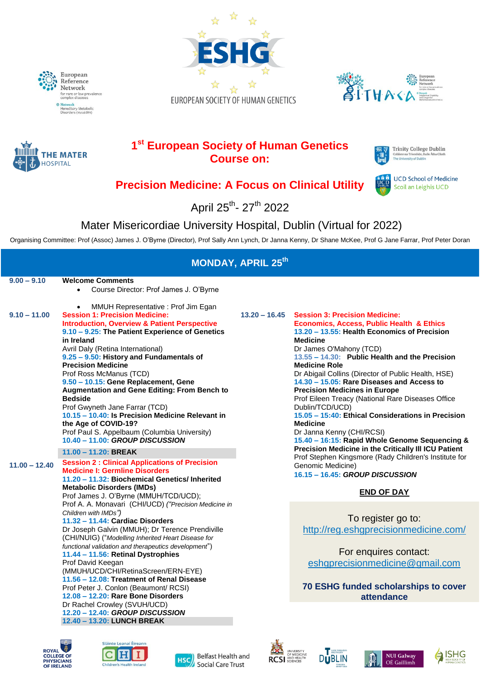





**RHE** 



# **1 st European Society of Human Genetics Course on:**



**UCD School of Medicine** 

Scoil an Leighis UCD

# **Precision Medicine: A Focus on Clinical Utility**

April 25<sup>th</sup>- 27<sup>th</sup> 2022

# Mater Misericordiae University Hospital, Dublin (Virtual for 2022)

Organising Committee: Prof (Assoc) James J. O'Byrne (Director), Prof Sally Ann Lynch, Dr Janna Kenny, Dr Shane McKee, Prof G Jane Farrar, Prof Peter Doran

| <b>MONDAY, APRIL 25th</b> |                                                                                                                                                                                                                                                                                                                                                                                                                                                                                                                                                                                                                                                                                                                                                                                                                                                    |                 |                                                                                                                                                                                                                                                                                                                                                                                                                                                                                                                                                                                                                                                                                                                                                                     |  |  |
|---------------------------|----------------------------------------------------------------------------------------------------------------------------------------------------------------------------------------------------------------------------------------------------------------------------------------------------------------------------------------------------------------------------------------------------------------------------------------------------------------------------------------------------------------------------------------------------------------------------------------------------------------------------------------------------------------------------------------------------------------------------------------------------------------------------------------------------------------------------------------------------|-----------------|---------------------------------------------------------------------------------------------------------------------------------------------------------------------------------------------------------------------------------------------------------------------------------------------------------------------------------------------------------------------------------------------------------------------------------------------------------------------------------------------------------------------------------------------------------------------------------------------------------------------------------------------------------------------------------------------------------------------------------------------------------------------|--|--|
| $9.00 - 9.10$             | <b>Welcome Comments</b><br>Course Director: Prof James J. O'Byrne<br>$\bullet$                                                                                                                                                                                                                                                                                                                                                                                                                                                                                                                                                                                                                                                                                                                                                                     |                 |                                                                                                                                                                                                                                                                                                                                                                                                                                                                                                                                                                                                                                                                                                                                                                     |  |  |
| $9.10 - 11.00$            | MMUH Representative: Prof Jim Egan<br>$\bullet$<br><b>Session 1: Precision Medicine:</b><br><b>Introduction, Overview &amp; Patient Perspective</b><br>9.10 - 9.25: The Patient Experience of Genetics<br>in Ireland<br>Avril Daly (Retina International)<br>9.25 - 9.50: History and Fundamentals of<br><b>Precision Medicine</b><br>Prof Ross McManus (TCD)<br>9.50 - 10.15: Gene Replacement, Gene<br>Augmentation and Gene Editing: From Bench to<br><b>Bedside</b><br>Prof Gwyneth Jane Farrar (TCD)<br>10.15 - 10.40: Is Precision Medicine Relevant in<br>the Age of COVID-19?<br>Prof Paul S. Appelbaum (Columbia University)<br>10.40 - 11.00: GROUP DISCUSSION                                                                                                                                                                           | $13.20 - 16.45$ | <b>Session 3: Precision Medicine:</b><br><b>Economics, Access, Public Health &amp; Ethics</b><br>13.20 - 13.55: Health Economics of Precision<br><b>Medicine</b><br>Dr James O'Mahony (TCD)<br>13.55 - 14.30: Public Health and the Precision<br><b>Medicine Role</b><br>Dr Abigail Collins (Director of Public Health, HSE)<br>14.30 - 15.05: Rare Diseases and Access to<br><b>Precision Medicines in Europe</b><br>Prof Eileen Treacy (National Rare Diseases Office<br>Dublin/TCD/UCD)<br>15.05 - 15:40: Ethical Considerations in Precision<br><b>Medicine</b><br>Dr Janna Kenny (CHI/RCSI)<br>15.40 - 16:15: Rapid Whole Genome Sequencing &<br>Precision Medicine in the Critically III ICU Patient<br>Prof Stephen Kingsmore (Rady Children's Institute for |  |  |
|                           | $11.00 - 11.20$ : BREAK                                                                                                                                                                                                                                                                                                                                                                                                                                                                                                                                                                                                                                                                                                                                                                                                                            |                 |                                                                                                                                                                                                                                                                                                                                                                                                                                                                                                                                                                                                                                                                                                                                                                     |  |  |
| $11.00 - 12.40$           | <b>Session 2: Clinical Applications of Precision</b><br><b>Medicine I: Germline Disorders</b><br>11.20 - 11.32: Biochemical Genetics/ Inherited<br><b>Metabolic Disorders (IMDs)</b><br>Prof James J. O'Byrne (MMUH/TCD/UCD);<br>Prof A. A. Monavari (CHI/UCD) ("Precision Medicine in<br>Children with IMDs")<br>11.32 - 11.44: Cardiac Disorders<br>Dr Joseph Galvin (MMUH); Dr Terence Prendiville<br>(CHI/NUIG) ("Modelling Inherited Heart Disease for<br>functional validation and therapeutics development")<br>11.44 - 11.56: Retinal Dystrophies<br>Prof David Keegan<br>(MMUH/UCD/CHI/RetinaScreen/ERN-EYE)<br>11.56 - 12.08: Treatment of Renal Disease<br>Prof Peter J. Conlon (Beaumont/ RCSI)<br>12.08 - 12.20: Rare Bone Disorders<br>Dr Rachel Crowley (SVUH/UCD)<br>12.20 - 12.40: GROUP DISCUSSION<br>12.40 - 13.20: LUNCH BREAK |                 | Genomic Medicine)<br>16.15 - 16.45: GROUP DISCUSSION                                                                                                                                                                                                                                                                                                                                                                                                                                                                                                                                                                                                                                                                                                                |  |  |
|                           |                                                                                                                                                                                                                                                                                                                                                                                                                                                                                                                                                                                                                                                                                                                                                                                                                                                    |                 | <b>END OF DAY</b>                                                                                                                                                                                                                                                                                                                                                                                                                                                                                                                                                                                                                                                                                                                                                   |  |  |
|                           |                                                                                                                                                                                                                                                                                                                                                                                                                                                                                                                                                                                                                                                                                                                                                                                                                                                    |                 | To register go to:<br>http://reg.eshgprecisionmedicine.com/<br>For enquires contact:<br>eshgprecisionmedicine@gmail.com<br>70 ESHG funded scholarships to cover<br>attendance                                                                                                                                                                                                                                                                                                                                                                                                                                                                                                                                                                                       |  |  |
|                           |                                                                                                                                                                                                                                                                                                                                                                                                                                                                                                                                                                                                                                                                                                                                                                                                                                                    |                 |                                                                                                                                                                                                                                                                                                                                                                                                                                                                                                                                                                                                                                                                                                                                                                     |  |  |













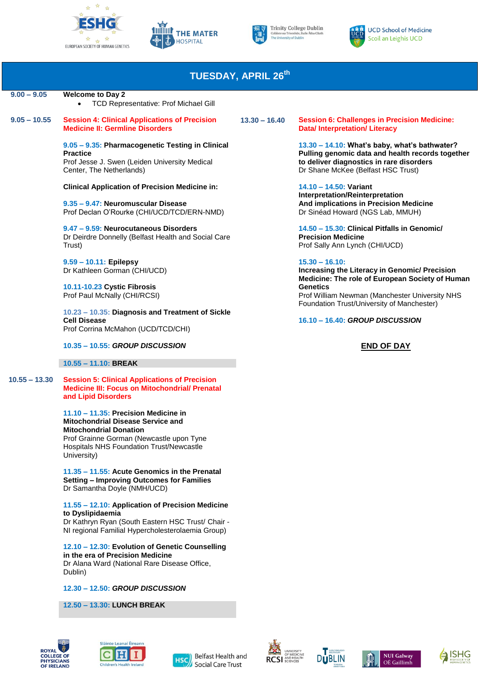







#### **TUESDAY, APRIL 26th 9.00 – 9.05 Welcome to Day 2**  TCD Representative: Prof Michael Gill  **9.05 – 10.55 Session 4: Clinical Applications of Precision 13.30 – 16.40 Medicine II: Germline Disorders Session 6: Challenges in Precision Medicine: Data/ Interpretation/ Literacy 9.05 – 9.35: Pharmacogenetic Testing in Clinical Practice** Prof Jesse J. Swen (Leiden University Medical Center, The Netherlands) **13.30 – 14.10: What's baby, what's bathwater? Pulling genomic data and health records together to deliver diagnostics in rare disorders** Dr Shane McKee (Belfast HSC Trust) **Clinical Application of Precision Medicine in: 9.35 – 9.47: Neuromuscular Disease** Prof Declan O'Rourke (CHI/UCD/TCD/ERN-NMD) **14.10 – 14.50: Variant Interpretation/Reinterpretation And implications in Precision Medicine** Dr Sinéad Howard (NGS Lab, MMUH) **9.47 – 9.59: Neurocutaneous Disorders** Dr Deirdre Donnelly (Belfast Health and Social Care Trust) **14.50 – 15.30: Clinical Pitfalls in Genomic/ Precision Medicine** Prof Sally Ann Lynch (CHI/UCD) **9.59 – 10.11: Epilepsy**  Dr Kathleen Gorman (CHI/UCD) **15.30 – 16.10: Increasing the Literacy in Genomic/ Precision Medicine: The role of European Society of Human Genetics**  Prof William Newman (Manchester University NHS Foundation Trust/University of Manchester) **10.11-10.23 Cystic Fibrosis** Prof Paul McNally (CHI/RCSI) **10.23 – 10.35: Diagnosis and Treatment of Sickle Cell Disease** Prof Corrina McMahon (UCD/TCD/CHI) **16.10 – 16.40:** *GROUP DISCUSSION* **10.35 – 10.55:** *GROUP DISCUSSION* **END OF DAY 10.55 – 11.10: BREAK 10.55 – 13.30 Session 5: Clinical Applications of Precision Medicine III: Focus on Mitochondrial/ Prenatal and Lipid Disorders**

**11.10 – 11.35: Precision Medicine in Mitochondrial Disease Service and Mitochondrial Donation**

Prof Grainne Gorman (Newcastle upon Tyne Hospitals NHS Foundation Trust/Newcastle University)

**11.35 – 11.55: Acute Genomics in the Prenatal Setting – Improving Outcomes for Families** Dr Samantha Doyle (NMH/UCD)

### **11.55 – 12.10: Application of Precision Medicine to Dyslipidaemia**

Dr Kathryn Ryan (South Eastern HSC Trust/ Chair - NI regional Familial Hypercholesterolaemia Group)

**12.10 – 12.30: Evolution of Genetic Counselling in the era of Precision Medicine** Dr Alana Ward (National Rare Disease Office,

**12.30 – 12.50:** *GROUP DISCUSSION*

**12.50 – 13.30: LUNCH BREAK**



Dublin)











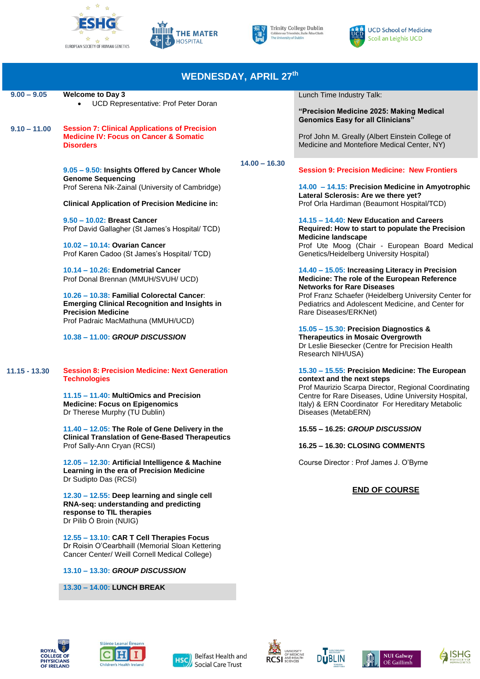







| <b>WEDNESDAY, APRIL 27th</b> |                                                                                                                                                                       |                 |                                                                                                                                                                                          |  |  |
|------------------------------|-----------------------------------------------------------------------------------------------------------------------------------------------------------------------|-----------------|------------------------------------------------------------------------------------------------------------------------------------------------------------------------------------------|--|--|
| $9.00 - 9.05$                | <b>Welcome to Day 3</b><br>UCD Representative: Prof Peter Doran                                                                                                       |                 | Lunch Time Industry Talk:                                                                                                                                                                |  |  |
| $9.10 - 11.00$               |                                                                                                                                                                       |                 | "Precision Medicine 2025: Making Medical<br><b>Genomics Easy for all Clinicians"</b>                                                                                                     |  |  |
|                              | <b>Session 7: Clinical Applications of Precision</b><br><b>Medicine IV: Focus on Cancer &amp; Somatic</b><br><b>Disorders</b>                                         |                 | Prof John M. Greally (Albert Einstein College of<br>Medicine and Montefiore Medical Center, NY)                                                                                          |  |  |
|                              | 9.05 - 9.50: Insights Offered by Cancer Whole<br><b>Genome Sequencing</b>                                                                                             | $14.00 - 16.30$ | <b>Session 9: Precision Medicine: New Frontiers</b>                                                                                                                                      |  |  |
|                              | Prof Serena Nik-Zainal (University of Cambridge)                                                                                                                      |                 | 14.00 - 14.15: Precision Medicine in Amyotrophic<br>Lateral Sclerosis: Are we there yet?                                                                                                 |  |  |
|                              | <b>Clinical Application of Precision Medicine in:</b>                                                                                                                 |                 | Prof Orla Hardiman (Beaumont Hospital/TCD)                                                                                                                                               |  |  |
|                              | 9.50 - 10.02: Breast Cancer<br>Prof David Gallagher (St James's Hospital/ TCD)                                                                                        |                 | 14.15 - 14.40: New Education and Careers<br>Required: How to start to populate the Precision<br><b>Medicine landscape</b>                                                                |  |  |
|                              | 10.02 - 10.14: Ovarian Cancer<br>Prof Karen Cadoo (St James's Hospital/ TCD)                                                                                          |                 | Prof Ute Moog (Chair - European Board Medical<br>Genetics/Heidelberg University Hospital)                                                                                                |  |  |
|                              | 10.14 - 10.26: Endometrial Cancer<br>Prof Donal Brennan (MMUH/SVUH/ UCD)                                                                                              |                 | 14.40 - 15.05: Increasing Literacy in Precision<br>Medicine: The role of the European Reference<br><b>Networks for Rare Diseases</b>                                                     |  |  |
|                              | 10.26 - 10.38: Familial Colorectal Cancer:<br><b>Emerging Clinical Recognition and Insights in</b><br><b>Precision Medicine</b><br>Prof Padraic MacMathuna (MMUH/UCD) |                 | Prof Franz Schaefer (Heidelberg University Center for<br>Pediatrics and Adolescent Medicine, and Center for<br>Rare Diseases/ERKNet)                                                     |  |  |
|                              | 10.38 - 11.00: GROUP DISCUSSION                                                                                                                                       |                 | 15.05 - 15.30: Precision Diagnostics &<br><b>Therapeutics in Mosaic Overgrowth</b><br>Dr Leslie Biesecker (Centre for Precision Health<br>Research NIH/USA)                              |  |  |
| $11.15 - 13.30$              | <b>Session 8: Precision Medicine: Next Generation</b><br><b>Technologies</b>                                                                                          |                 | 15.30 - 15.55: Precision Medicine: The European<br>context and the next steps                                                                                                            |  |  |
|                              | 11.15 - 11.40: MultiOmics and Precision<br><b>Medicine: Focus on Epigenomics</b><br>Dr Therese Murphy (TU Dublin)                                                     |                 | Prof Maurizio Scarpa Director, Regional Coordinating<br>Centre for Rare Diseases, Udine University Hospital,<br>Italy) & ERN Coordinator For Hereditary Metabolic<br>Diseases (MetabERN) |  |  |
|                              | <u>11.40 – 12.05: The Role of Gene Delivery in the</u><br><b>Clinical Translation of Gene-Based Therapeutics</b><br>Prof Sally-Ann Cryan (RCSI)                       |                 | 15.55 - 16.25: GROUP DISCUSSION                                                                                                                                                          |  |  |
|                              |                                                                                                                                                                       |                 | 16.25 - 16.30: CLOSING COMMENTS                                                                                                                                                          |  |  |
|                              | 12.05 - 12.30: Artificial Intelligence & Machine<br>Learning in the era of Precision Medicine<br>Dr Sudipto Das (RCSI)                                                |                 | Course Director: Prof James J. O'Byrne                                                                                                                                                   |  |  |
|                              | 12.30 - 12.55: Deep learning and single cell<br>RNA-seq: understanding and predicting<br>response to TIL therapies<br>Dr Pilib Ó Broin (NUIG)                         |                 | <b>END OF COURSE</b>                                                                                                                                                                     |  |  |
|                              | 12.55 - 13.10: CAR T Cell Therapies Focus<br>Dr Roisin O'Cearbhaill (Memorial Sloan Kettering<br>Cancer Center/ Weill Cornell Medical College)                        |                 |                                                                                                                                                                                          |  |  |
|                              | 13.10 - 13.30: GROUP DISCUSSION                                                                                                                                       |                 |                                                                                                                                                                                          |  |  |
|                              | 13.30 - 14.00: LUNCH BREAK                                                                                                                                            |                 |                                                                                                                                                                                          |  |  |
|                              |                                                                                                                                                                       |                 |                                                                                                                                                                                          |  |  |